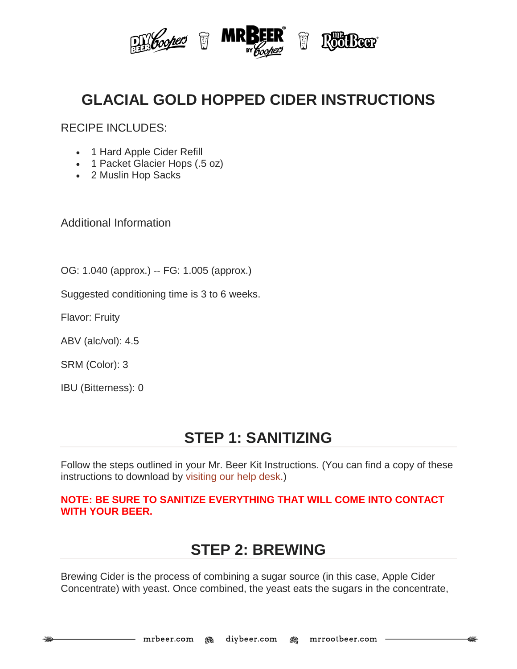

# **GLACIAL GOLD HOPPED CIDER INSTRUCTIONS**

RECIPE INCLUDES:

- 1 Hard Apple Cider Refill
- 1 Packet Glacier Hops (.5 oz)
- 2 Muslin Hop Sacks

Additional Information

OG: 1.040 (approx.) -- FG: 1.005 (approx.)

Suggested conditioning time is 3 to 6 weeks.

Flavor: Fruity

ABV (alc/vol): 4.5

SRM (Color): 3

IBU (Bitterness): 0

### **STEP 1: SANITIZING**

Follow the steps outlined in your Mr. Beer Kit Instructions. (You can find a copy of these instructions to download by [visiting our help desk.\)](http://www.mrbeer.com/help)

#### **NOTE: BE SURE TO SANITIZE EVERYTHING THAT WILL COME INTO CONTACT WITH YOUR BEER.**

### **STEP 2: BREWING**

Brewing Cider is the process of combining a sugar source (in this case, Apple Cider Concentrate) with yeast. Once combined, the yeast eats the sugars in the concentrate,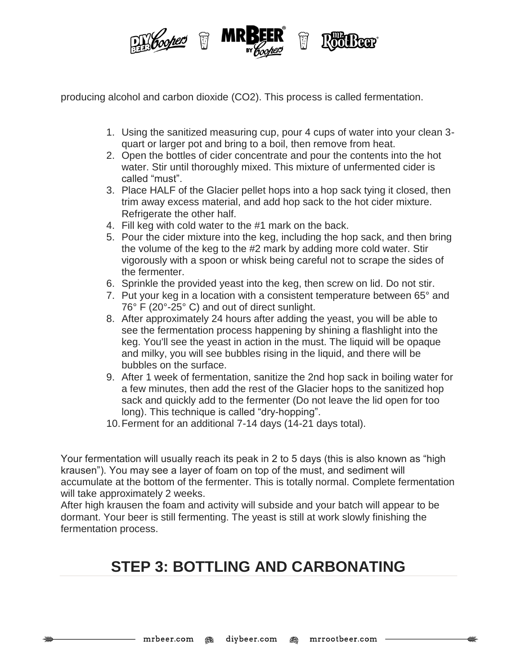

producing alcohol and carbon dioxide (CO2). This process is called fermentation.

- 1. Using the sanitized measuring cup, pour 4 cups of water into your clean 3 quart or larger pot and bring to a boil, then remove from heat.
- 2. Open the bottles of cider concentrate and pour the contents into the hot water. Stir until thoroughly mixed. This mixture of unfermented cider is called "must".
- 3. Place HALF of the Glacier pellet hops into a hop sack tying it closed, then trim away excess material, and add hop sack to the hot cider mixture. Refrigerate the other half.
- 4. Fill keg with cold water to the #1 mark on the back.
- 5. Pour the cider mixture into the keg, including the hop sack, and then bring the volume of the keg to the #2 mark by adding more cold water. Stir vigorously with a spoon or whisk being careful not to scrape the sides of the fermenter.
- 6. Sprinkle the provided yeast into the keg, then screw on lid. Do not stir.
- 7. Put your keg in a location with a consistent temperature between 65° and 76° F (20°-25° C) and out of direct sunlight.
- 8. After approximately 24 hours after adding the yeast, you will be able to see the fermentation process happening by shining a flashlight into the keg. You'll see the yeast in action in the must. The liquid will be opaque and milky, you will see bubbles rising in the liquid, and there will be bubbles on the surface.
- 9. After 1 week of fermentation, sanitize the 2nd hop sack in boiling water for a few minutes, then add the rest of the Glacier hops to the sanitized hop sack and quickly add to the fermenter (Do not leave the lid open for too long). This technique is called "dry-hopping".
- 10.Ferment for an additional 7-14 days (14-21 days total).

Your fermentation will usually reach its peak in 2 to 5 days (this is also known as "high krausen"). You may see a layer of foam on top of the must, and sediment will accumulate at the bottom of the fermenter. This is totally normal. Complete fermentation will take approximately 2 weeks.

After high krausen the foam and activity will subside and your batch will appear to be dormant. Your beer is still fermenting. The yeast is still at work slowly finishing the fermentation process.

# **STEP 3: BOTTLING AND CARBONATING**